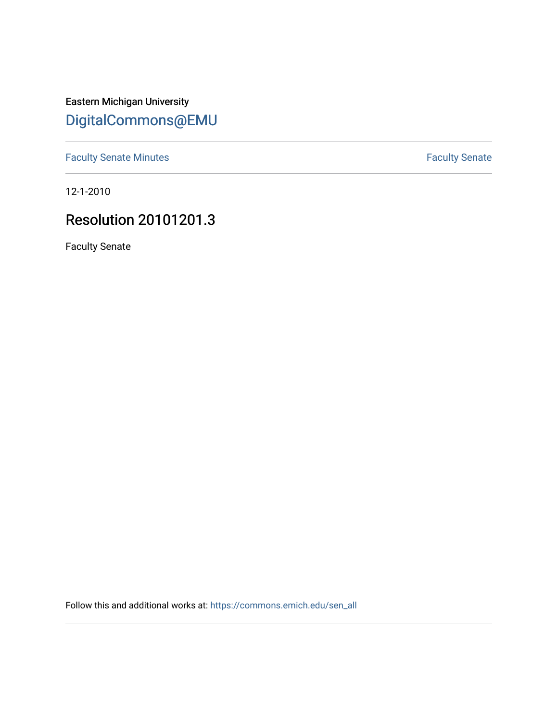Eastern Michigan University [DigitalCommons@EMU](https://commons.emich.edu/) 

[Faculty Senate Minutes](https://commons.emich.edu/sen_all) **Faculty** Senate Minutes

12-1-2010

# Resolution 20101201.3

Faculty Senate

Follow this and additional works at: [https://commons.emich.edu/sen\\_all](https://commons.emich.edu/sen_all?utm_source=commons.emich.edu%2Fsen_all%2F208&utm_medium=PDF&utm_campaign=PDFCoverPages)